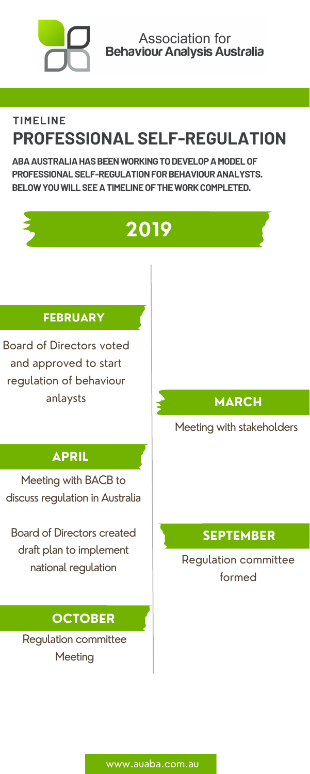#### **SEPTEMBER**

#### Regulation committee formed

Meeting with BACB to discuss regulation in Australia

**ABA AUSTRALIA HAS BEEN WORKING TO DEVELOP A MODEL OF PROFESSIONALSELF-REGULATIONFORBEHAVIOURANALYSTS. BELOWYOUWILLSEEATIMELINEOFTHEWORKCOMPLETED.**



Regulation committee **Meeting** 

Board of Directors created draft plan to implement national regulation

# **Association for Behaviour Analysis Australia**

### **TIMELINE PROFESSIONAL SELF-REGULATION**

#### **OCTOBER**

www.auaba.com.au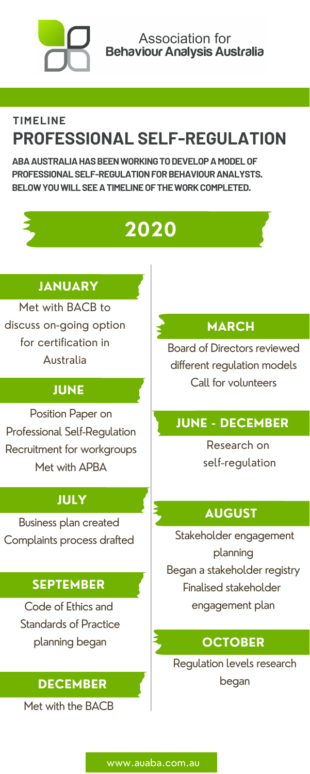#### **JANUARY**

Met with BACB to discuss on-going option for certification in Australia

#### **MARCH**

Board of Directors reviewed different regulation models Call for volunteers

Code of Ethics and Standards of Practice planning began

#### **JUNE - DECEMBER**

Research on self-regulation

**ABA AUSTRALIA HAS BEEN WORKING TO DEVELOP A MODEL OF PROFESSIONALSELF-REGULATIONFORBEHAVIOURANALYSTS. BELOWYOUWILLSEEATIMELINEOFTHEWORKCOMPLETED.**

#### **JUNE**

Position Paper on Professional Self-Regulation Recruitment for workgroups

#### Met with APBA

# **Association for Behaviour Analysis Australia**

### **TIMELINE PROFESSIONAL SELF-REGULATION**

## **2020**

#### **AUGUST**

Stakeholder engagement planning Began a stakeholder registry Finalised stakeholder engagement plan

#### **SEPTEMBER**

Business plan created Complaints process drafted

#### **OCTOBER**

Regulation levels research began

Met with the BACB

#### **DECEMBER**

#### **July JULY**

www.auaba.com.au